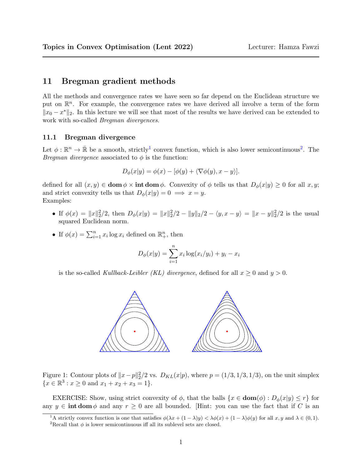# 11 Bregman gradient methods

All the methods and convergence rates we have seen so far depend on the Euclidean structure we put on  $\mathbb{R}^n$ . For example, the convergence rates we have derived all involve a term of the form  $||x_0 - x^*||_2$ . In this lecture we will see that most of the results we have derived can be extended to work with so-called Bregman divergences.

#### 11.1 Bregman divergence

Let  $\phi: \mathbb{R}^n \to \bar{\mathbb{R}}$  be a smooth, strictly<sup>[1](#page-0-0)</sup> convex function, which is also lower semicontinuous<sup>[2](#page-0-1)</sup>. The *Bregman divergence* associated to  $\phi$  is the function:

$$
D_{\phi}(x|y) = \phi(x) - [\phi(y) + \langle \nabla \phi(y), x - y \rangle].
$$

defined for all  $(x, y) \in \text{dom } \phi \times \text{int dom } \phi$ . Convexity of  $\phi$  tells us that  $D_{\phi}(x|y) \geq 0$  for all  $x, y$ ; and strict convexity tells us that  $D_{\phi}(x|y) = 0 \implies x = y$ . Examples:

- If  $\phi(x) = ||x||_2^2/2$ , then  $D_\phi(x|y) = ||x||_2^2/2 ||y||_2/2 \langle y, x y \rangle = ||x y||_2^2/2$  is the usual squared Euclidean norm.
- If  $\phi(x) = \sum_{i=1}^n x_i \log x_i$  defined on  $\mathbb{R}^n_+$ , then

$$
D_{\phi}(x|y) = \sum_{i=1}^{n} x_i \log(x_i/y_i) + y_i - x_i
$$

is the so-called Kullback-Leibler (KL) divergence, defined for all  $x \ge 0$  and  $y > 0$ .



Figure 1: Contour plots of  $||x-p||_2^2/2$  vs.  $D_{KL}(x|p)$ , where  $p = (1/3, 1/3, 1/3)$ , on the unit simplex  ${x \in \mathbb{R}^3 : x \ge 0 \text{ and } x_1 + x_2 + x_3 = 1}.$ 

EXERCISE: Show, using strict convexity of  $\phi$ , that the balls  $\{x \in \text{dom}(\phi) : D_{\phi}(x|y) \leq r\}$  for any  $y \in \text{int dom }\phi$  and any  $r \geq 0$  are all bounded. [Hint: you can use the fact that if C is an

<span id="page-0-0"></span><sup>&</sup>lt;sup>1</sup>A strictly convex function is one that satisfies  $\phi(\lambda x + (1 - \lambda)y) < \lambda \phi(x) + (1 - \lambda)\phi(y)$  for all  $x, y$  and  $\lambda \in (0, 1)$ .

<span id="page-0-1"></span><sup>&</sup>lt;sup>2</sup>Recall that  $\phi$  is lower semicontinuous iff all its sublevel sets are closed.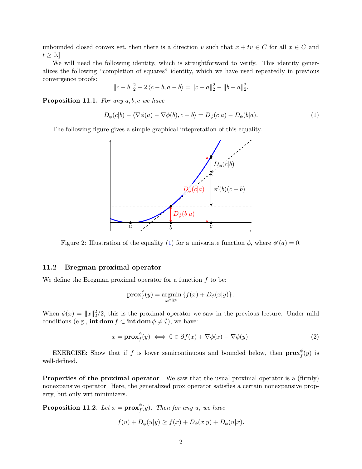unbounded closed convex set, then there is a direction v such that  $x + tv \in C$  for all  $x \in C$  and  $t \geq 0.$ 

We will need the following identity, which is straightforward to verify. This identity generalizes the following "completion of squares" identity, which we have used repeatedly in previous convergence proofs:

$$
||c - b||_2^2 - 2\langle c - b, a - b \rangle = ||c - a||_2^2 - ||b - a||_2^2.
$$

**Proposition 11.1.** For any  $a, b, c$  we have

<span id="page-1-0"></span>
$$
D_{\phi}(c|b) - \langle \nabla \phi(a) - \nabla \phi(b), c - b \rangle = D_{\phi}(c|a) - D_{\phi}(b|a). \tag{1}
$$

The following figure gives a simple graphical intepretation of this equality.



Figure 2: Illustration of the equality [\(1\)](#page-1-0) for a univariate function  $\phi$ , where  $\phi'(a) = 0$ .

### 11.2 Bregman proximal operator

We define the Bregman proximal operator for a function  $f$  to be:

$$
\mathbf{prox}_{f}^{\phi}(y) = \underset{x \in \mathbb{R}^n}{\text{argmin}} \left\{ f(x) + D_{\phi}(x|y) \right\}.
$$

When  $\phi(x) = ||x||_2^2/2$ , this is the proximal operator we saw in the previous lecture. Under mild conditions (e.g., int dom  $f \subset \text{int dom } \phi \neq \emptyset$ ), we have:

<span id="page-1-1"></span>
$$
x = \mathbf{prox}_{f}^{\phi}(y) \iff 0 \in \partial f(x) + \nabla \phi(x) - \nabla \phi(y). \tag{2}
$$

EXERCISE: Show that if f is lower semicontinuous and bounded below, then  $prox_f^{\phi}$  $^{\varphi}_{f}(y)$  is well-defined.

Properties of the proximal operator We saw that the usual proximal operator is a (firmly) nonexpansive operator. Here, the generalized prox operator satisfies a certain nonexpansive property, but only wrt minimizers.

<span id="page-1-2"></span>Proposition 11.2. Let  $x = \mathbf{prox}_f^{\phi}$  $_{f}^{\varphi}(y).$  Then for any  $u, \; we \; have$ 

$$
f(u) + D_{\phi}(u|y) \ge f(x) + D_{\phi}(x|y) + D_{\phi}(u|x).
$$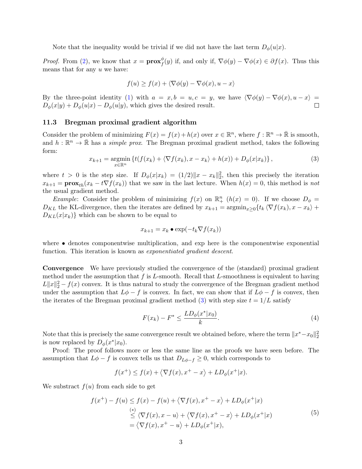Note that the inequality would be trivial if we did not have the last term  $D_{\phi}(u|x)$ .

*Proof.* From [\(2\)](#page-1-1), we know that  $x = \mathbf{prox}_{f}^{\phi}$  $f(y)$  if, and only if,  $\nabla \phi(y) - \nabla \phi(x) \in \partial f(x)$ . Thus this means that for any u we have:

$$
f(u) \ge f(x) + \langle \nabla \phi(y) - \nabla \phi(x), u - x \rangle
$$

By the three-point identity [\(1\)](#page-1-0) with  $a = x, b = u, c = y$ , we have  $\langle \nabla \phi(y) - \nabla \phi(x), u - x \rangle =$  $D_{\phi}(x|y) + D_{\phi}(u|x) - D_{\phi}(u|y)$ , which gives the desired result.

#### 11.3 Bregman proximal gradient algorithm

Consider the problem of minimizing  $F(x) = f(x) + h(x)$  over  $x \in \mathbb{R}^n$ , where  $f : \mathbb{R}^n \to \overline{\mathbb{R}}$  is smooth, and  $h: \mathbb{R}^n \to \bar{\mathbb{R}}$  has a *simple prox*. The Bregman proximal gradient method, takes the following form:

<span id="page-2-0"></span>
$$
x_{k+1} = \underset{x \in \mathbb{R}^n}{\operatorname{argmin}} \left\{ t(f(x_k) + \langle \nabla f(x_k), x - x_k \rangle + h(x)) + D_{\phi}(x | x_k) \right\},\tag{3}
$$

where  $t > 0$  is the step size. If  $D_{\phi}(x|x_k) = (1/2)||x - x_k||_2^2$ , then this precisely the iteration  $x_{k+1} = \mathbf{prox}_{th}(x_k - t \nabla f(x_k))$  that we saw in the last lecture. When  $h(x) = 0$ , this method is not the usual gradient method.

*Example*: Consider the problem of minimizing  $f(x)$  on  $\mathbb{R}^n_+$   $(h(x) = 0)$ . If we choose  $D_\phi =$  $D_{KL}$  the KL-divergence, then the iterates are defined by  $x_{k+1} = \operatorname{argmin}_{x>0} \{t_k \langle \nabla f(x_k), x - x_k \rangle +$  $D_{KL}(x|x_k)$  which can be shown to be equal to

$$
x_{k+1} = x_k \bullet \exp(-t_k \nabla f(x_k))
$$

where • denotes componentwise multiplication, and exp here is the componentwise exponential function. This iteration is known as *exponentiated gradient descent*.

Convergence We have previously studied the convergence of the (standard) proximal gradient method under the assumption that  $f$  is  $L$ -smooth. Recall that  $L$ -smoothness is equivalent to having  $L||x||_2^2 - f(x)$  convex. It is thus natural to study the convergence of the Bregman gradient method under the assumption that  $L\phi - f$  is convex. In fact, we can show that if  $L\phi - f$  is convex, then the iterates of the Bregman proximal gradient method [\(3\)](#page-2-0) with step size  $t = 1/L$  satisfy

<span id="page-2-2"></span>
$$
F(x_k) - F^* \le \frac{LD_{\phi}(x^*|x_0)}{k}.
$$
\n(4)

Note that this is precisely the same convergence result we obtained before, where the term  $\|x^*-x_0\|_2^2$ is now replaced by  $D_{\phi}(x^*|x_0)$ .

Proof: The proof follows more or less the same line as the proofs we have seen before. The assumption that  $L\phi - f$  is convex tells us that  $D_{L\phi - f} \geq 0$ , which corresponds to

$$
f(x^+) \le f(x) + \langle \nabla f(x), x^+ - x \rangle + LD_{\phi}(x^+|x).
$$

We substract  $f(u)$  from each side to get

<span id="page-2-1"></span>
$$
f(x^{+}) - f(u) \le f(x) - f(u) + \langle \nabla f(x), x^{+} - x \rangle + LD_{\phi}(x^{+}|x)
$$
  
\n
$$
\le \langle \nabla f(x), x - u \rangle + \langle \nabla f(x), x^{+} - x \rangle + LD_{\phi}(x^{+}|x)
$$
  
\n
$$
= \langle \nabla f(x), x^{+} - u \rangle + LD_{\phi}(x^{+}|x), \qquad (5)
$$